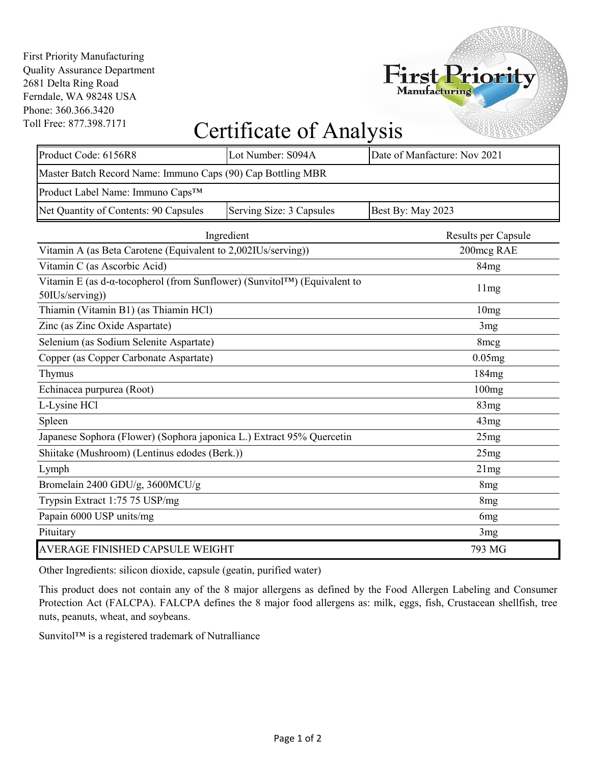First Priority Manufacturing Quality Assurance Department 2681 Delta Ring Road Ferndale, WA 98248 USA Phone: 360.366.3420 Toll Free: 877.398.7171



## Certificate of Analysis

| Product Code: 6156R8                                                                                               | Lot Number: S094A        | Date of Manfacture: Nov 2021 |  |  |
|--------------------------------------------------------------------------------------------------------------------|--------------------------|------------------------------|--|--|
| Master Batch Record Name: Immuno Caps (90) Cap Bottling MBR                                                        |                          |                              |  |  |
| Product Label Name: Immuno Caps™                                                                                   |                          |                              |  |  |
| Net Quantity of Contents: 90 Capsules                                                                              | Serving Size: 3 Capsules | Best By: May 2023            |  |  |
|                                                                                                                    | Ingredient               |                              |  |  |
| Vitamin A (as Beta Carotene (Equivalent to 2,002IUs/serving))                                                      |                          | 200mcg RAE                   |  |  |
| Vitamin C (as Ascorbic Acid)                                                                                       |                          | 84 <sub>mg</sub>             |  |  |
| Vitamin E (as d- $\alpha$ -tocopherol (from Sunflower) (Sunvitol <sup>TM</sup> ) (Equivalent to<br>50IUs/serving)) |                          | 11mg                         |  |  |
| Thiamin (Vitamin B1) (as Thiamin HCl)                                                                              |                          | 10mg                         |  |  |
| Zinc (as Zinc Oxide Aspartate)                                                                                     |                          | 3mg                          |  |  |
| Selenium (as Sodium Selenite Aspartate)                                                                            |                          | 8mcg                         |  |  |
| Copper (as Copper Carbonate Aspartate)                                                                             |                          | 0.05mg                       |  |  |
| Thymus                                                                                                             |                          | 184 <sub>mg</sub>            |  |  |
| Echinacea purpurea (Root)                                                                                          |                          | 100mg                        |  |  |
| L-Lysine HCl                                                                                                       |                          | 83mg                         |  |  |
| Spleen                                                                                                             |                          | 43mg                         |  |  |
| Japanese Sophora (Flower) (Sophora japonica L.) Extract 95% Quercetin                                              |                          | 25mg                         |  |  |
| Shiitake (Mushroom) (Lentinus edodes (Berk.))                                                                      |                          | 25mg                         |  |  |
| Lymph                                                                                                              |                          | 21mg                         |  |  |
| Bromelain 2400 GDU/g, 3600MCU/g                                                                                    |                          | 8 <sub>mg</sub>              |  |  |
| Trypsin Extract 1:75 75 USP/mg                                                                                     |                          | 8 <sub>mg</sub>              |  |  |
| Papain 6000 USP units/mg                                                                                           |                          | 6 <sub>mg</sub>              |  |  |
| Pituitary                                                                                                          |                          | 3mg                          |  |  |
| AVERAGE FINISHED CAPSULE WEIGHT                                                                                    |                          | 793 MG                       |  |  |

Other Ingredients: silicon dioxide, capsule (geatin, purified water)

This product does not contain any of the 8 major allergens as defined by the Food Allergen Labeling and Consumer Protection Act (FALCPA). FALCPA defines the 8 major food allergens as: milk, eggs, fish, Crustacean shellfish, tree nuts, peanuts, wheat, and soybeans.

Sunvitol™ is a registered trademark of Nutralliance